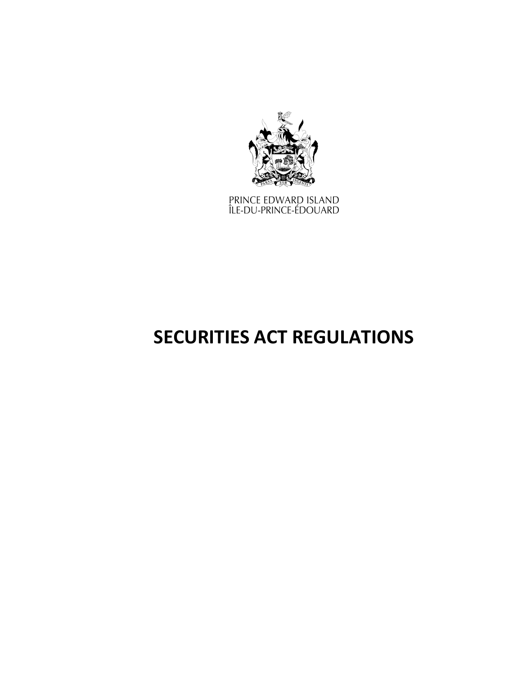

PRINCE EDWARD ISLAND<br>ÎLE-DU-PRINCE-ÉDOUARD

# **SECURITIES ACT REGULATIONS**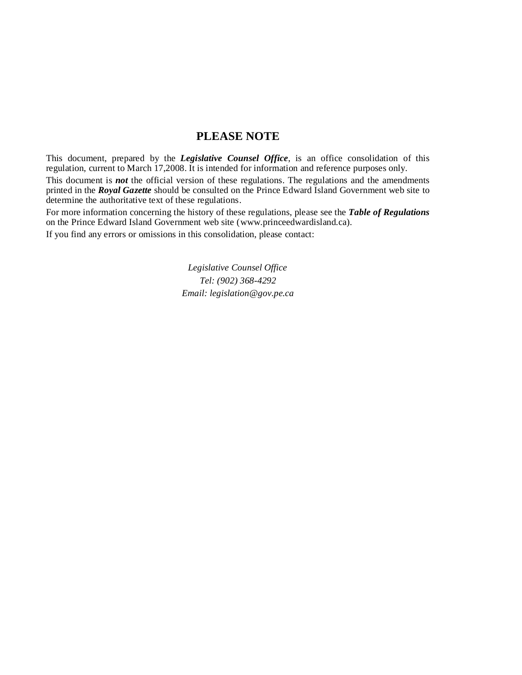# **PLEASE NOTE**

This document, prepared by the *[Legislative](http://www.gov.pe.ca/jps/index.php3?number=1027247) Counsel Office*, is an office consolidation of this regulation, current to March 17,2008. It is intended for information and reference purposes only.

This document is *not* the official version of these regulations. The regulations and the amendments printed in the *Royal Gazette* should be consulted on the Prince Edward Island Government web site to determine the authoritative text of these regulations.

For more information concerning the history of these regulations, please see the *[Table of Regulations](https://www.princeedwardisland.ca/sites/default/files/publications/leg_table_acts.pdf)* on the Prince Edward Island Government web site (www.princeedwardisland.ca).

If you find any errors or omissions in this consolidation, please contact:

*Legislative Counsel Office Tel: (902) 368-4292 Email: legislation@gov.pe.ca*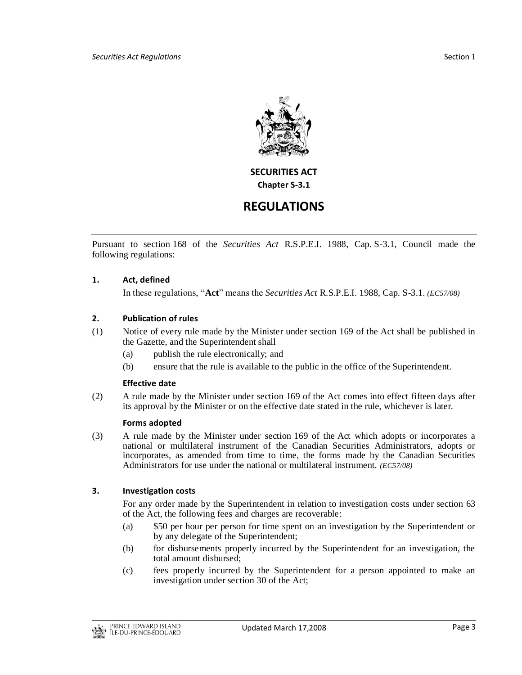

**SECURITIES ACT Chapter S-3.1**

# **REGULATIONS**

Pursuant to section 168 of the *Securities Act* R.S.P.E.I. 1988, Cap. S-3.1, Council made the following regulations:

# **1. Act, defined**

In these regulations, "**Act**" means the *Securities Act* R.S.P.E.I. 1988, Cap. S-3.1. *(EC57/08)*

## **2. Publication of rules**

- (1) Notice of every rule made by the Minister under section 169 of the Act shall be published in the Gazette, and the Superintendent shall
	- (a) publish the rule electronically; and
	- (b) ensure that the rule is available to the public in the office of the Superintendent.

#### **Effective date**

(2) A rule made by the Minister under section 169 of the Act comes into effect fifteen days after its approval by the Minister or on the effective date stated in the rule, whichever is later.

#### **Forms adopted**

(3) A rule made by the Minister under section 169 of the Act which adopts or incorporates a national or multilateral instrument of the Canadian Securities Administrators, adopts or incorporates, as amended from time to time, the forms made by the Canadian Securities Administrators for use under the national or multilateral instrument. *(EC57/08)*

## **3. Investigation costs**

For any order made by the Superintendent in relation to investigation costs under section 63 of the Act, the following fees and charges are recoverable:

- (a) \$50 per hour per person for time spent on an investigation by the Superintendent or by any delegate of the Superintendent;
- (b) for disbursements properly incurred by the Superintendent for an investigation, the total amount disbursed;
- (c) fees properly incurred by the Superintendent for a person appointed to make an investigation under section 30 of the Act;